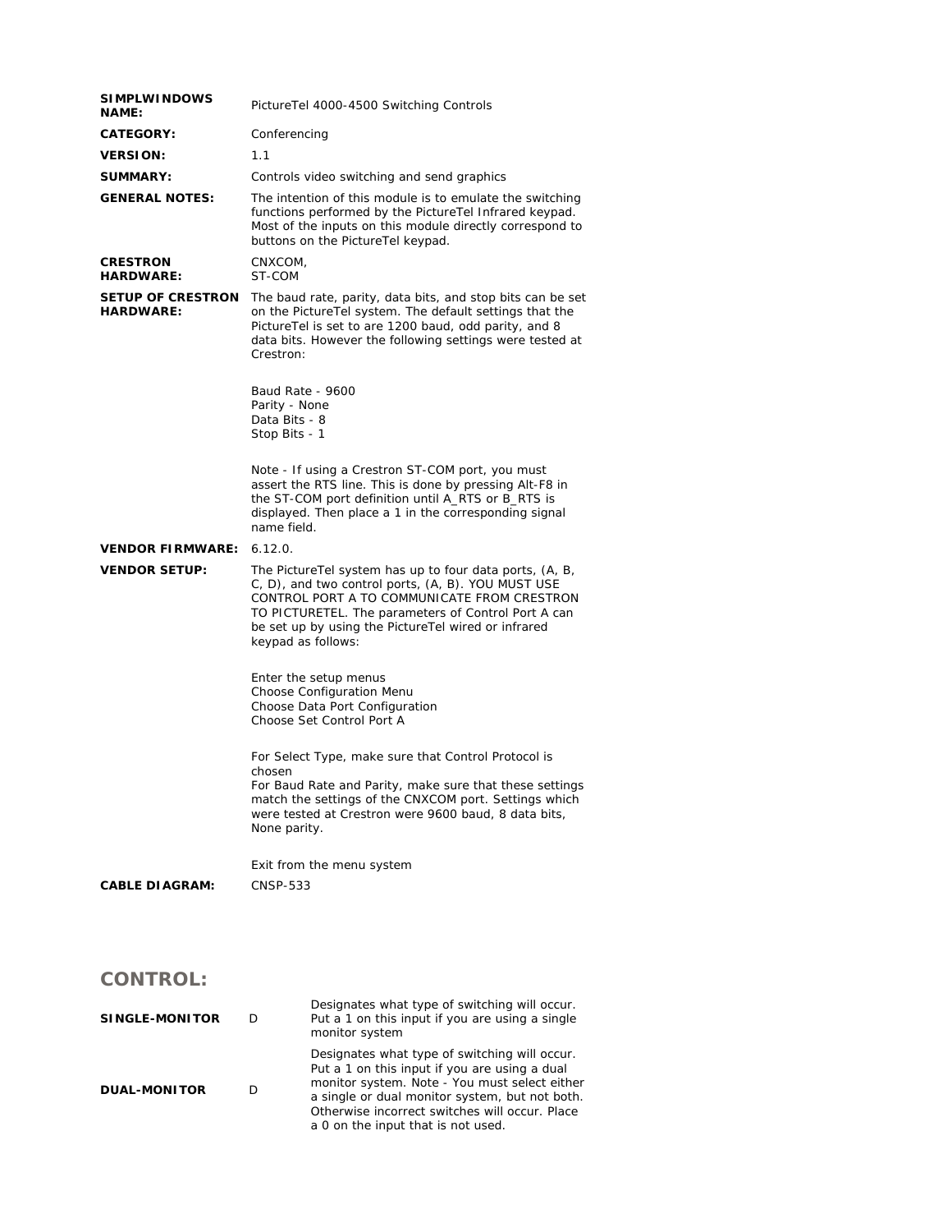| <b>SIMPLWINDOWS</b><br><b>NAME:</b>          | PictureTel 4000-4500 Switching Controls                                                                                                                                                                                                                                                          |  |  |
|----------------------------------------------|--------------------------------------------------------------------------------------------------------------------------------------------------------------------------------------------------------------------------------------------------------------------------------------------------|--|--|
| <b>CATEGORY:</b>                             | Conferencing                                                                                                                                                                                                                                                                                     |  |  |
| <b>VERSION:</b>                              | 1.1                                                                                                                                                                                                                                                                                              |  |  |
| SUMMARY:                                     | Controls video switching and send graphics                                                                                                                                                                                                                                                       |  |  |
| <b>GENERAL NOTES:</b>                        | The intention of this module is to emulate the switching<br>functions performed by the PictureTel Infrared keypad.<br>Most of the inputs on this module directly correspond to<br>buttons on the PictureTel keypad.                                                                              |  |  |
| <b>CRESTRON</b><br><b>HARDWARE:</b>          | CNXCOM,<br>ST-COM                                                                                                                                                                                                                                                                                |  |  |
| <b>SETUP OF CRESTRON</b><br><b>HARDWARE:</b> | The baud rate, parity, data bits, and stop bits can be set<br>on the PictureTel system. The default settings that the<br>PictureTel is set to are 1200 baud, odd parity, and 8<br>data bits. However the following settings were tested at<br>Crestron:<br>Baud Rate - 9600<br>Parity - None     |  |  |
|                                              | Data Bits - 8<br>Stop Bits - 1                                                                                                                                                                                                                                                                   |  |  |
|                                              | Note - If using a Crestron ST-COM port, you must<br>assert the RTS line. This is done by pressing Alt-F8 in<br>the ST-COM port definition until A_RTS or B_RTS is<br>displayed. Then place a 1 in the corresponding signal<br>name field.                                                        |  |  |
| <b>VENDOR FIRMWARE:</b>                      | 6.12.0.                                                                                                                                                                                                                                                                                          |  |  |
| <b>VENDOR SETUP:</b>                         | The PictureTel system has up to four data ports, (A, B,<br>C, D), and two control ports, (A, B). YOU MUST USE<br>CONTROL PORT A TO COMMUNICATE FROM CRESTRON<br>TO PICTURETEL. The parameters of Control Port A can<br>be set up by using the PictureTel wired or infrared<br>keypad as follows: |  |  |
|                                              | Enter the setup menus<br>Choose Configuration Menu<br>Choose Data Port Configuration<br>Choose Set Control Port A                                                                                                                                                                                |  |  |
|                                              | For Select Type, make sure that Control Protocol is<br>chosen<br>For Baud Rate and Parity, make sure that these settings<br>match the settings of the CNXCOM port. Settings which<br>were tested at Crestron were 9600 baud. 8 data bits.<br>None parity.                                        |  |  |
|                                              | Exit from the menu system                                                                                                                                                                                                                                                                        |  |  |
| <b>CABLE DIAGRAM:</b>                        | CNSP-533                                                                                                                                                                                                                                                                                         |  |  |

## **CONTROL:**

| SINGLE-MONITOR      |   | Designates what type of switching will occur.<br>Put a 1 on this input if you are using a single<br>monitor system                                                                                                                                                                        |
|---------------------|---|-------------------------------------------------------------------------------------------------------------------------------------------------------------------------------------------------------------------------------------------------------------------------------------------|
| <b>DUAL-MONITOR</b> | D | Designates what type of switching will occur.<br>Put a 1 on this input if you are using a dual<br>monitor system. Note - You must select either<br>a single or dual monitor system, but not both.<br>Otherwise incorrect switches will occur. Place<br>a 0 on the input that is not used. |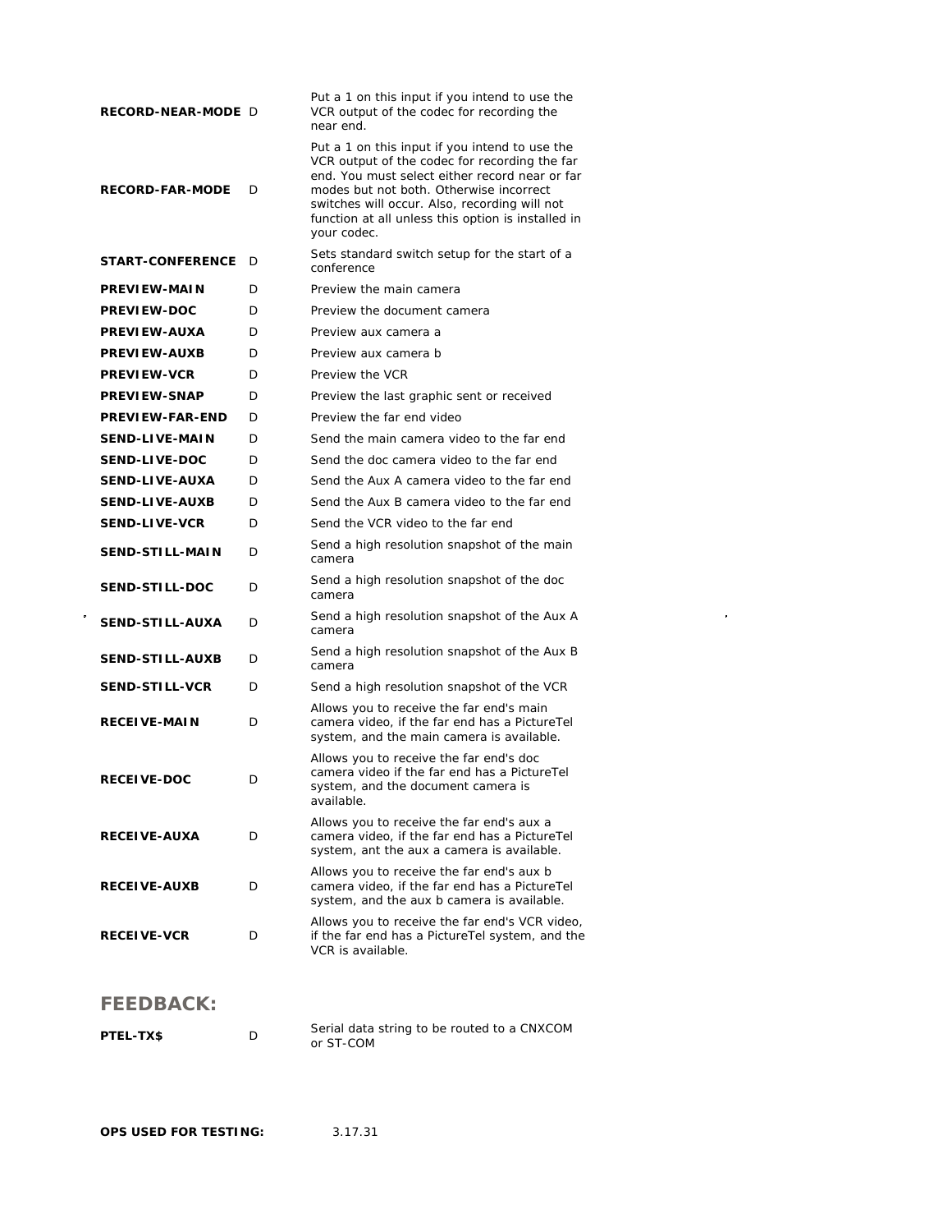| RECORD-NEAR-MODE D      |   | Put a 1 on this input if you intend to use the<br>VCR output of the codec for recording the<br>near end.                                                                                                                                                                                                           |
|-------------------------|---|--------------------------------------------------------------------------------------------------------------------------------------------------------------------------------------------------------------------------------------------------------------------------------------------------------------------|
| <b>RECORD-FAR-MODE</b>  | D | Put a 1 on this input if you intend to use the<br>VCR output of the codec for recording the far<br>end. You must select either record near or far<br>modes but not both. Otherwise incorrect<br>switches will occur. Also, recording will not<br>function at all unless this option is installed in<br>your codec. |
| <b>START-CONFERENCE</b> | D | Sets standard switch setup for the start of a<br>conference                                                                                                                                                                                                                                                        |
| PREVIEW-MAIN            | D | Preview the main camera                                                                                                                                                                                                                                                                                            |
| <b>PREVIEW-DOC</b>      | D | Preview the document camera                                                                                                                                                                                                                                                                                        |
| <b>PREVIEW-AUXA</b>     | D | Preview aux camera a                                                                                                                                                                                                                                                                                               |
| <b>PREVIEW-AUXB</b>     | D | Preview aux camera b                                                                                                                                                                                                                                                                                               |
| <b>PREVIEW-VCR</b>      | D | Preview the VCR                                                                                                                                                                                                                                                                                                    |
| <b>PREVIEW-SNAP</b>     | D | Preview the last graphic sent or received                                                                                                                                                                                                                                                                          |
| <b>PREVIEW-FAR-END</b>  | D | Preview the far end video                                                                                                                                                                                                                                                                                          |
| <b>SEND-LIVE-MAIN</b>   | D | Send the main camera video to the far end                                                                                                                                                                                                                                                                          |
| <b>SEND-LIVE-DOC</b>    | D | Send the doc camera video to the far end                                                                                                                                                                                                                                                                           |
| <b>SEND-LIVE-AUXA</b>   | D | Send the Aux A camera video to the far end                                                                                                                                                                                                                                                                         |
| <b>SEND-LIVE-AUXB</b>   | D | Send the Aux B camera video to the far end                                                                                                                                                                                                                                                                         |
| <b>SEND-LIVE-VCR</b>    | D | Send the VCR video to the far end                                                                                                                                                                                                                                                                                  |
| <b>SEND-STILL-MAIN</b>  | D | Send a high resolution snapshot of the main<br>camera                                                                                                                                                                                                                                                              |
| <b>SEND-STILL-DOC</b>   | D | Send a high resolution snapshot of the doc<br>camera                                                                                                                                                                                                                                                               |
| <b>SEND-STILL-AUXA</b>  | D | Send a high resolution snapshot of the Aux A<br>camera                                                                                                                                                                                                                                                             |
| <b>SEND-STILL-AUXB</b>  | D | Send a high resolution snapshot of the Aux B<br>camera                                                                                                                                                                                                                                                             |
| <b>SEND-STILL-VCR</b>   | D | Send a high resolution snapshot of the VCR                                                                                                                                                                                                                                                                         |
| <b>RECEIVE-MAIN</b>     | D | Allows you to receive the far end's main<br>camera video, if the far end has a PictureTel<br>system, and the main camera is available.                                                                                                                                                                             |
| <b>RECEIVE-DOC</b>      | D | Allows you to receive the far end's doc<br>camera video if the far end has a PictureTel<br>system, and the document camera is<br>available.                                                                                                                                                                        |
| <b>RECEIVE-AUXA</b>     | D | Allows you to receive the far end's aux a<br>camera video, if the far end has a PictureTel<br>system, ant the aux a camera is available.                                                                                                                                                                           |
| <b>RECEIVE-AUXB</b>     | D | Allows you to receive the far end's aux b<br>camera video, if the far end has a PictureTel<br>system, and the aux b camera is available.                                                                                                                                                                           |
| <b>RECEIVE-VCR</b>      | D | Allows you to receive the far end's VCR video,<br>if the far end has a PictureTel system, and the<br>VCR is available.                                                                                                                                                                                             |
|                         |   |                                                                                                                                                                                                                                                                                                                    |

 $\label{eq:2.1} \mathcal{L}(\mathcal{L}^{\text{max}}_{\mathcal{L}}(\mathcal{L}^{\text{max}}_{\mathcal{L}})) \leq \mathcal{L}(\mathcal{L}^{\text{max}}_{\mathcal{L}}(\mathcal{L}^{\text{max}}_{\mathcal{L}}))$ 

## **FEEDBACK:**

| <b>PTEL-TX\$</b> | Serial data string to be routed to a CNXCOM |
|------------------|---------------------------------------------|
|                  | or ST-COM                                   |